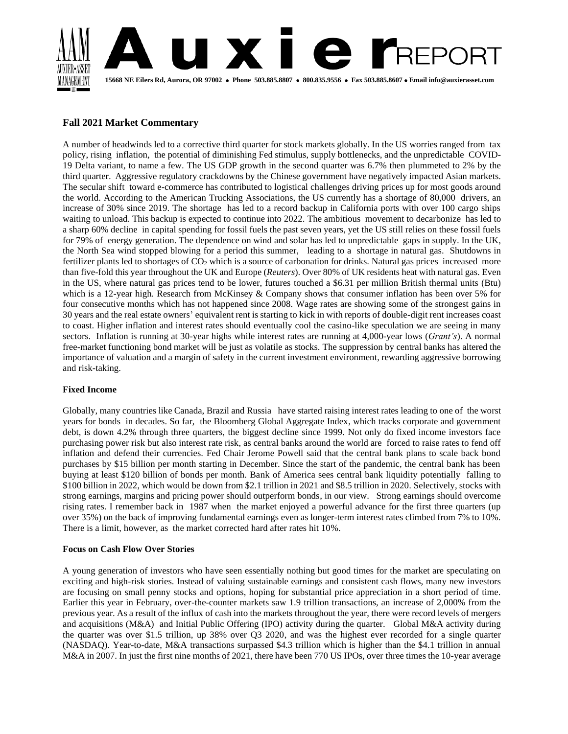

# **Fall 2021 Market Commentary**

A number of headwinds led to a corrective third quarter for stock markets globally. In the US worries ranged from tax policy, rising inflation, the potential of diminishing Fed stimulus, supply bottlenecks, and the unpredictable COVID-19 Delta variant, to name a few. The US GDP growth in the second quarter was 6.7% then plummeted to 2% by the third quarter. Aggressive regulatory crackdowns by the Chinese government have negatively impacted Asian markets. The secular shift toward e-commerce has contributed to logistical challenges driving prices up for most goods around the world. According to the American Trucking Associations, the US currently has a shortage of 80,000 drivers, an increase of 30% since 2019. The shortage has led to a record backup in California ports with over 100 cargo ships waiting to unload. This backup is expected to continue into 2022. The ambitious movement to decarbonize has led to a sharp 60% decline in capital spending for fossil fuels the past seven years, yet the US still relies on these fossil fuels for 79% of energy generation. The dependence on wind and solar has led to unpredictable gaps in supply. In the UK, the North Sea wind stopped blowing for a period this summer, leading to a shortage in natural gas. Shutdowns in fertilizer plants led to shortages of  $CO<sub>2</sub>$  which is a source of carbonation for drinks. Natural gas prices increased more than five-fold this year throughout the UK and Europe (*Reuters*). Over 80% of UK residents heat with natural gas. Even in the US, where natural gas prices tend to be lower, futures touched a \$6.31 per million British thermal units (Btu) which is a 12-year high. Research from McKinsey & Company shows that consumer inflation has been over 5% for four consecutive months which has not happened since 2008. Wage rates are showing some of the strongest gains in 30 years and the real estate owners' equivalent rent is starting to kick in with reports of double-digit rent increases coast to coast. Higher inflation and interest rates should eventually cool the casino-like speculation we are seeing in many sectors. Inflation is running at 30-year highs while interest rates are running at 4,000-year lows (*Grant's*). A normal free-market functioning bond market will be just as volatile as stocks. The suppression by central banks has altered the importance of valuation and a margin of safety in the current investment environment, rewarding aggressive borrowing and risk-taking.

## **Fixed Income**

Globally, many countries like Canada, Brazil and Russia have started raising interest rates leading to one of the worst years for bonds in decades. So far, the Bloomberg Global Aggregate Index, which tracks corporate and government debt, is down 4.2% through three quarters, the biggest decline since 1999. Not only do fixed income investors face purchasing power risk but also interest rate risk, as central banks around the world are forced to raise rates to fend off inflation and defend their currencies. Fed Chair Jerome Powell said that the central bank plans to scale back bond purchases by \$15 billion per month starting in December. Since the start of the pandemic, the central bank has been buying at least \$120 billion of bonds per month. Bank of America sees central bank liquidity potentially falling to \$100 billion in 2022, which would be down from \$2.1 trillion in 2021 and \$8.5 trillion in 2020. Selectively, stocks with strong earnings, margins and pricing power should outperform bonds, in our view. Strong earnings should overcome rising rates. I remember back in 1987 when the market enjoyed a powerful advance for the first three quarters (up over 35%) on the back of improving fundamental earnings even as longer-term interest rates climbed from 7% to 10%. There is a limit, however, as the market corrected hard after rates hit 10%.

## **Focus on Cash Flow Over Stories**

A young generation of investors who have seen essentially nothing but good times for the market are speculating on exciting and high-risk stories. Instead of valuing sustainable earnings and consistent cash flows, many new investors are focusing on small penny stocks and options, hoping for substantial price appreciation in a short period of time. Earlier this year in February, over-the-counter markets saw 1.9 trillion transactions, an increase of 2,000% from the previous year. As a result of the influx of cash into the markets throughout the year, there were record levels of mergers and acquisitions (M&A) and Initial Public Offering (IPO) activity during the quarter. Global M&A activity during the quarter was over \$1.5 trillion, up 38% over Q3 2020, and was the highest ever recorded for a single quarter (NASDAQ). Year-to-date, M&A transactions surpassed \$4.3 trillion which is higher than the \$4.1 trillion in annual M&A in 2007. In just the first nine months of 2021, there have been 770 US IPOs, over three times the 10-year average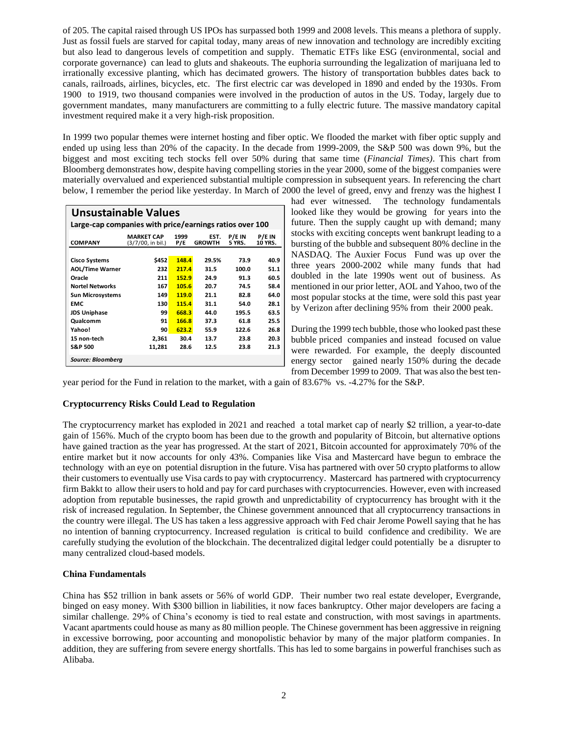of 205. The capital raised through US IPOs has surpassed both 1999 and 2008 levels. This means a plethora of supply. Just as fossil fuels are starved for capital today, many areas of new innovation and technology are incredibly exciting but also lead to dangerous levels of competition and supply. Thematic ETFs like ESG (environmental, social and corporate governance) can lead to gluts and shakeouts. The euphoria surrounding the legalization of marijuana led to irrationally excessive planting, which has decimated growers. The history of transportation bubbles dates back to canals, railroads, airlines, bicycles, etc. The first electric car was developed in 1890 and ended by the 1930s. From 1900 to 1919, two thousand companies were involved in the production of autos in the US. Today, largely due to government mandates, many manufacturers are committing to a fully electric future. The massive mandatory capital investment required make it a very high-risk proposition.

In 1999 two popular themes were internet hosting and fiber optic. We flooded the market with fiber optic supply and ended up using less than 20% of the capacity. In the decade from 1999-2009, the S&P 500 was down 9%, but the biggest and most exciting tech stocks fell over 50% during that same time (*Financial Times)*. This chart from Bloomberg demonstrates how, despite having compelling stories in the year 2000, some of the biggest companies were materially overvalued and experienced substantial multiple compression in subsequent years. In referencing the chart below, I remember the period like yesterday. In March of 2000 the level of greed, envy and frenzy was the highest I

| Unsustainable Values                                    |                                        |             |                       |                  |                          |  |
|---------------------------------------------------------|----------------------------------------|-------------|-----------------------|------------------|--------------------------|--|
| Large-cap companies with price/earnings ratios over 100 |                                        |             |                       |                  |                          |  |
| <b>COMPANY</b>                                          | <b>MARKET CAP</b><br>(3/7/00, in bil.) | 1999<br>P/E | EST.<br><b>GROWTH</b> | P/E IN<br>5 YRS. | P/E IN<br><b>10 YRS.</b> |  |
| <b>Cisco Systems</b>                                    | \$452                                  | 148.4       | 29.5%                 | 73.9             | 40.9                     |  |
| <b>AOL/Time Warner</b>                                  | 232                                    | 217.4       | 31.5                  | 100.0            | 51.1                     |  |
| Oracle                                                  | 211                                    | 152.9       | 24.9                  | 91.3             | 60.5                     |  |
| <b>Nortel Networks</b>                                  | 167                                    | 105.6       | 20.7                  | 74.5             | 58.4                     |  |
| <b>Sun Microsystems</b>                                 | 149                                    | 119.0       | 21.1                  | 82.8             | 64.0                     |  |
| EMC                                                     | 130                                    | 115.4       | 31.1                  | 54.0             | 28.1                     |  |
| <b>JDS Uniphase</b>                                     | 99                                     | 668.3       | 44.0                  | 195.5            | 63.5                     |  |
| Qualcomm                                                | 91                                     | 166.8       | 37.3                  | 61.8             | 25.5                     |  |
| Yahoo!                                                  | 90                                     | 623.2       | 55.9                  | 122.6            | 26.8                     |  |
| 15 non-tech                                             | 2,361                                  | 30.4        | 13.7                  | 23.8             | 20.3                     |  |
| <b>S&amp;P 500</b>                                      | 11,281                                 | 28.6        | 12.5                  | 23.8             | 21.3                     |  |
| Source: Bloomberg                                       |                                        |             |                       |                  |                          |  |

had ever witnessed. The technology fundamentals looked like they would be growing for years into the future. Then the supply caught up with demand; many stocks with exciting concepts went bankrupt leading to a bursting of the bubble and subsequent 80% decline in the NASDAQ. The Auxier Focus Fund was up over the three years 2000-2002 while many funds that had doubled in the late 1990s went out of business. As mentioned in our prior letter, AOL and Yahoo, two of the most popular stocks at the time, were sold this past year by Verizon after declining 95% from their 2000 peak.

During the 1999 tech bubble, those who looked past these bubble priced companies and instead focused on value were rewarded. For example, the deeply discounted energy sector gained nearly 150% during the decade from December 1999 to 2009. That was also the best ten-

year period for the Fund in relation to the market, with a gain of 83.67% vs. -4.27% for the S&P.

## **Cryptocurrency Risks Could Lead to Regulation**

The cryptocurrency market has exploded in 2021 and reached a total market cap of nearly \$2 trillion, a year-to-date gain of 156%. Much of the crypto boom has been due to the growth and popularity of Bitcoin, but alternative options have gained traction as the year has progressed. At the start of 2021, Bitcoin accounted for approximately 70% of the entire market but it now accounts for only 43%. Companies like Visa and Mastercard have begun to embrace the technology with an eye on potential disruption in the future. Visa has partnered with over 50 crypto platforms to allow their customers to eventually use Visa cards to pay with cryptocurrency. Mastercard has partnered with cryptocurrency firm Bakkt to allow their users to hold and pay for card purchases with cryptocurrencies. However, even with increased adoption from reputable businesses, the rapid growth and unpredictability of cryptocurrency has brought with it the risk of increased regulation. In September, the Chinese government announced that all cryptocurrency transactions in the country were illegal. The US has taken a less aggressive approach with Fed chair Jerome Powell saying that he has no intention of banning cryptocurrency. Increased regulation is critical to build confidence and credibility. We are carefully studying the evolution of the blockchain. The decentralized digital ledger could potentially be a disrupter to many centralized cloud-based models.

#### **China Fundamentals**

China has \$52 trillion in bank assets or 56% of world GDP. Their number two real estate developer, Evergrande, binged on easy money. With \$300 billion in liabilities, it now faces bankruptcy. Other major developers are facing a similar challenge. 29% of China's economy is tied to real estate and construction, with most savings in apartments. Vacant apartments could house as many as 80 million people. The Chinese government has been aggressive in reigning in excessive borrowing, poor accounting and monopolistic behavior by many of the major platform companies. In addition, they are suffering from severe energy shortfalls. This has led to some bargains in powerful franchises such as Alibaba.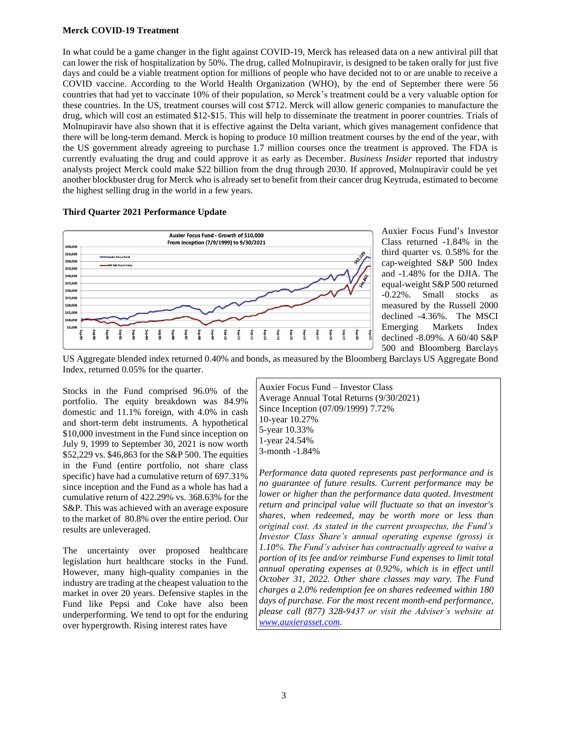## **Merck COVID-19 Treatment**

In what could be a game changer in the fight against COVID-19, Merck has released data on a new antiviral pill that can lower the risk of hospitalization by 50%. The drug, called Molnupiravir, is designed to be taken orally for just five days and could be a viable treatment option for millions of people who have decided not to or are unable to receive a COVID vaccine. According to the World Health Organization (WHO), by the end of September there were 56 countries that had yet to vaccinate 10% of their population, so Merck's treatment could be a very valuable option for these countries. In the US, treatment courses will cost \$712. Merck will allow generic companies to manufacture the drug, which will cost an estimated \$12-\$15. This will help to disseminate the treatment in poorer countries. Trials of Molnupiravir have also shown that it is effective against the Delta variant, which gives management confidence that there will be long-term demand. Merck is hoping to produce 10 million treatment courses by the end of the year, with the US government already agreeing to purchase 1.7 million courses once the treatment is approved. The FDA is currently evaluating the drug and could approve it as early as December. *Business Insider* reported that industry analysts project Merck could make \$22 billion from the drug through 2030. If approved, Molnupiravir could be yet another blockbuster drug for Merck who is already set to benefit from their cancer drug Keytruda, estimated to become the highest selling drug in the world in a few years.

## **Third Quarter 2021 Performance Update**



Auxier Focus Fund's Investor Class returned -1.84% in the third quarter vs. 0.58% for the cap-weighted S&P 500 Index and -1.48% for the DJIA. The equal-weight S&P 500 returned -0.22%. Small stocks as measured by the Russell 2000 declined -4.36%. The MSCI Emerging Markets Index declined -8.09%. A 60/40 S&P 500 and Bloomberg Barclays

US Aggregate blended index returned 0.40% and bonds, as measured by the Bloomberg Barclays US Aggregate Bond Index, returned 0.05% for the quarter.

Stocks in the Fund comprised 96.0% of the portfolio. The equity breakdown was 84.9% domestic and 11.1% foreign, with 4.0% in cash and short-term debt instruments. A hypothetical \$10,000 investment in the Fund since inception on July 9, 1999 to September 30, 2021 is now worth \$52,229 vs. \$46,863 for the S&P 500. The equities in the Fund (entire portfolio, not share class specific) have had a cumulative return of 697.31% since inception and the Fund as a whole has had a cumulative return of 422.29% vs. 368.63% for the S&P. This was achieved with an average exposure to the market of 80.8% over the entire period. Our results are unleveraged.

The uncertainty over proposed healthcare legislation hurt healthcare stocks in the Fund. However, many high-quality companies in the industry are trading at the cheapest valuation to the market in over 20 years. Defensive staples in the Fund like Pepsi and Coke have also been underperforming. We tend to opt for the enduring over hypergrowth. Rising interest rates have

Auxier Focus Fund – Investor Class Average Annual Total Returns (9/30/2021) Since Inception (07/09/1999) 7.72% 10-year 10.27% 5-year 10.33% 1-year 24.54% 3-month -1.84%

*Performance data quoted represents past performance and is no guarantee of future results. Current performance may be lower or higher than the performance data quoted. Investment return and principal value will fluctuate so that an investor's shares, when redeemed, may be worth more or less than original cost. As stated in the current prospectus, the Fund's Investor Class Share's annual operating expense (gross) is 1.10%. The Fund's adviser has contractually agreed to waive a portion of its fee and/or reimburse Fund expenses to limit total annual operating expenses at 0.92%, which is in effect until October 31, 2022. Other share classes may vary. The Fund charges a 2.0% redemption fee on shares redeemed within 180 days of purchase. For the most recent month-end performance, please call (877) 328-9437 or visit the Adviser's website at [www.auxierasset.com.](http://www.auxierasset.com/)*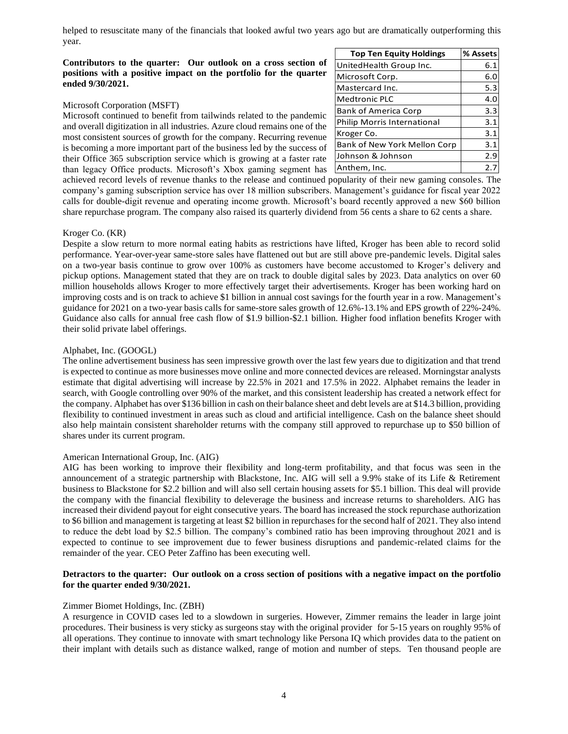helped to resuscitate many of the financials that looked awful two years ago but are dramatically outperforming this year.

### **Contributors to the quarter: Our outlook on a cross section of positions with a positive impact on the portfolio for the quarter ended 9/30/2021.**

#### Microsoft Corporation (MSFT)

Microsoft continued to benefit from tailwinds related to the pandemic and overall digitization in all industries. Azure cloud remains one of the most consistent sources of growth for the company. Recurring revenue is becoming a more important part of the business led by the success of their Office 365 subscription service which is growing at a faster rate than legacy Office products. Microsoft's Xbox gaming segment has

| <b>Top Ten Equity Holdings</b> | % Assets |
|--------------------------------|----------|
| UnitedHealth Group Inc.        | 6.1      |
| Microsoft Corp.                | 6.0      |
| Mastercard Inc.                | 5.3      |
| <b>Medtronic PLC</b>           | 4.0      |
| <b>Bank of America Corp</b>    | 3.3      |
| Philip Morris International    | 3.1      |
| Kroger Co.                     | 3.1      |
| Bank of New York Mellon Corp   | 3.1      |
| Johnson & Johnson              | 2.9      |
| Anthem, Inc.                   | 2.7      |

achieved record levels of revenue thanks to the release and continued popularity of their new gaming consoles. The company's gaming subscription service has over 18 million subscribers. Management's guidance for fiscal year 2022 calls for double-digit revenue and operating income growth. Microsoft's board recently approved a new \$60 billion share repurchase program. The company also raised its quarterly dividend from 56 cents a share to 62 cents a share.

#### Kroger Co. (KR)

Despite a slow return to more normal eating habits as restrictions have lifted, Kroger has been able to record solid performance. Year-over-year same-store sales have flattened out but are still above pre-pandemic levels. Digital sales on a two-year basis continue to grow over 100% as customers have become accustomed to Kroger's delivery and pickup options. Management stated that they are on track to double digital sales by 2023. Data analytics on over 60 million households allows Kroger to more effectively target their advertisements. Kroger has been working hard on improving costs and is on track to achieve \$1 billion in annual cost savings for the fourth year in a row. Management's guidance for 2021 on a two-year basis calls for same-store sales growth of 12.6%-13.1% and EPS growth of 22%-24%. Guidance also calls for annual free cash flow of \$1.9 billion-\$2.1 billion. Higher food inflation benefits Kroger with their solid private label offerings.

#### Alphabet, Inc. (GOOGL)

The online advertisement business has seen impressive growth over the last few years due to digitization and that trend is expected to continue as more businesses move online and more connected devices are released. Morningstar analysts estimate that digital advertising will increase by 22.5% in 2021 and 17.5% in 2022. Alphabet remains the leader in search, with Google controlling over 90% of the market, and this consistent leadership has created a network effect for the company. Alphabet has over \$136 billion in cash on their balance sheet and debt levels are at \$14.3 billion, providing flexibility to continued investment in areas such as cloud and artificial intelligence. Cash on the balance sheet should also help maintain consistent shareholder returns with the company still approved to repurchase up to \$50 billion of shares under its current program.

#### American International Group, Inc. (AIG)

AIG has been working to improve their flexibility and long-term profitability, and that focus was seen in the announcement of a strategic partnership with Blackstone, Inc. AIG will sell a 9.9% stake of its Life & Retirement business to Blackstone for \$2.2 billion and will also sell certain housing assets for \$5.1 billion. This deal will provide the company with the financial flexibility to deleverage the business and increase returns to shareholders. AIG has increased their dividend payout for eight consecutive years. The board has increased the stock repurchase authorization to \$6 billion and management is targeting at least \$2 billion in repurchases for the second half of 2021. They also intend to reduce the debt load by \$2.5 billion. The company's combined ratio has been improving throughout 2021 and is expected to continue to see improvement due to fewer business disruptions and pandemic-related claims for the remainder of the year. CEO Peter Zaffino has been executing well.

#### **Detractors to the quarter: Our outlook on a cross section of positions with a negative impact on the portfolio for the quarter ended 9/30/2021.**

#### Zimmer Biomet Holdings, Inc. (ZBH)

A resurgence in COVID cases led to a slowdown in surgeries. However, Zimmer remains the leader in large joint procedures. Their business is very sticky as surgeons stay with the original provider for 5-15 years on roughly 95% of all operations. They continue to innovate with smart technology like Persona IQ which provides data to the patient on their implant with details such as distance walked, range of motion and number of steps. Ten thousand people are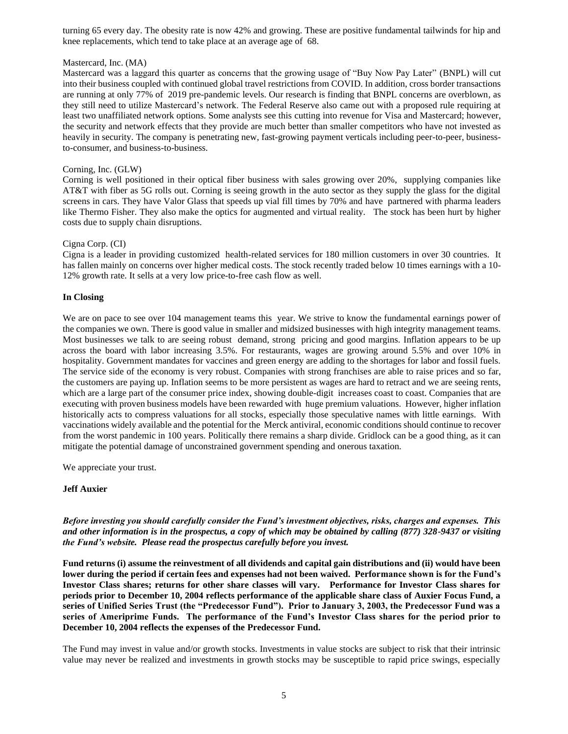turning 65 every day. The obesity rate is now 42% and growing. These are positive fundamental tailwinds for hip and knee replacements, which tend to take place at an average age of 68.

## Mastercard, Inc. (MA)

Mastercard was a laggard this quarter as concerns that the growing usage of "Buy Now Pay Later" (BNPL) will cut into their business coupled with continued global travel restrictions from COVID. In addition, cross border transactions are running at only 77% of 2019 pre-pandemic levels. Our research is finding that BNPL concerns are overblown, as they still need to utilize Mastercard's network. The Federal Reserve also came out with a proposed rule requiring at least two unaffiliated network options. Some analysts see this cutting into revenue for Visa and Mastercard; however, the security and network effects that they provide are much better than smaller competitors who have not invested as heavily in security. The company is penetrating new, fast-growing payment verticals including peer-to-peer, businessto-consumer, and business-to-business.

## Corning, Inc. (GLW)

Corning is well positioned in their optical fiber business with sales growing over 20%, supplying companies like AT&T with fiber as 5G rolls out. Corning is seeing growth in the auto sector as they supply the glass for the digital screens in cars. They have Valor Glass that speeds up vial fill times by 70% and have partnered with pharma leaders like Thermo Fisher. They also make the optics for augmented and virtual reality. The stock has been hurt by higher costs due to supply chain disruptions.

#### Cigna Corp. (CI)

Cigna is a leader in providing customized health-related services for 180 million customers in over 30 countries. It has fallen mainly on concerns over higher medical costs. The stock recently traded below 10 times earnings with a 10- 12% growth rate. It sells at a very low price-to-free cash flow as well.

## **In Closing**

We are on pace to see over 104 management teams this year. We strive to know the fundamental earnings power of the companies we own. There is good value in smaller and midsized businesses with high integrity management teams. Most businesses we talk to are seeing robust demand, strong pricing and good margins. Inflation appears to be up across the board with labor increasing 3.5%. For restaurants, wages are growing around 5.5% and over 10% in hospitality. Government mandates for vaccines and green energy are adding to the shortages for labor and fossil fuels. The service side of the economy is very robust. Companies with strong franchises are able to raise prices and so far, the customers are paying up. Inflation seems to be more persistent as wages are hard to retract and we are seeing rents, which are a large part of the consumer price index, showing double-digit increases coast to coast. Companies that are executing with proven business models have been rewarded with huge premium valuations. However, higher inflation historically acts to compress valuations for all stocks, especially those speculative names with little earnings. With vaccinations widely available and the potential for the Merck antiviral, economic conditions should continue to recover from the worst pandemic in 100 years. Politically there remains a sharp divide. Gridlock can be a good thing, as it can mitigate the potential damage of unconstrained government spending and onerous taxation.

We appreciate your trust.

## **Jeff Auxier**

*Before investing you should carefully consider the Fund's investment objectives, risks, charges and expenses. This and other information is in the prospectus, a copy of which may be obtained by calling (877) 328-9437 or visiting the Fund's website. Please read the prospectus carefully before you invest.*

**Fund returns (i) assume the reinvestment of all dividends and capital gain distributions and (ii) would have been lower during the period if certain fees and expenses had not been waived. Performance shown is for the Fund's Investor Class shares; returns for other share classes will vary. Performance for Investor Class shares for periods prior to December 10, 2004 reflects performance of the applicable share class of Auxier Focus Fund, a series of Unified Series Trust (the "Predecessor Fund"). Prior to January 3, 2003, the Predecessor Fund was a series of Ameriprime Funds. The performance of the Fund's Investor Class shares for the period prior to December 10, 2004 reflects the expenses of the Predecessor Fund.** 

The Fund may invest in value and/or growth stocks. Investments in value stocks are subject to risk that their intrinsic value may never be realized and investments in growth stocks may be susceptible to rapid price swings, especially